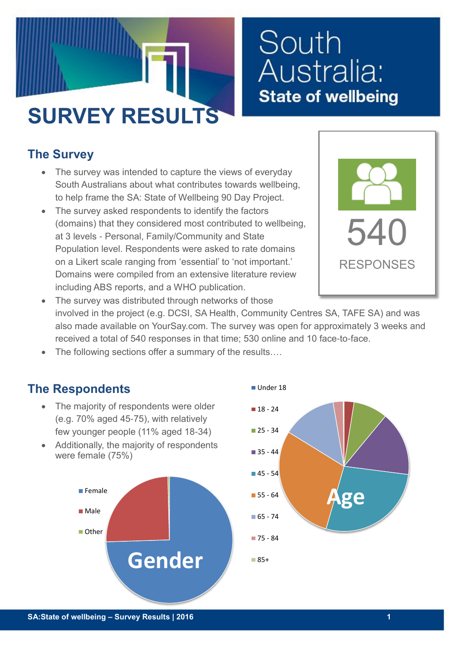

# South Australia: **State of wellbeing**

### **The Survey**

- The survey was intended to capture the views of everyday South Australians about what contributes towards wellbeing, to help frame the SA: State of Wellbeing 90 Day Project.
- The survey asked respondents to identify the factors (domains) that they considered most contributed to wellbeing, at 3 levels - Personal, Family/Community and State Population level. Respondents were asked to rate domains on a Likert scale ranging from 'essential' to 'not important.' Domains were compiled from an extensive literature review including ABS reports, and a WHO publication.



- The survey was distributed through networks of those involved in the project (e.g. DCSI, SA Health, Community Centres SA, TAFE SA) and was also made available on YourSay.com. The survey was open for approximately 3 weeks and received a total of 540 responses in that time; 530 online and 10 face-to-face.
- The following sections offer a summary of the results....

#### **The Respondents**

- The majority of respondents were older (e.g. 70% aged 45-75), with relatively few younger people (11% aged 18-34)
- Additionally, the majority of respondents were female (75%)



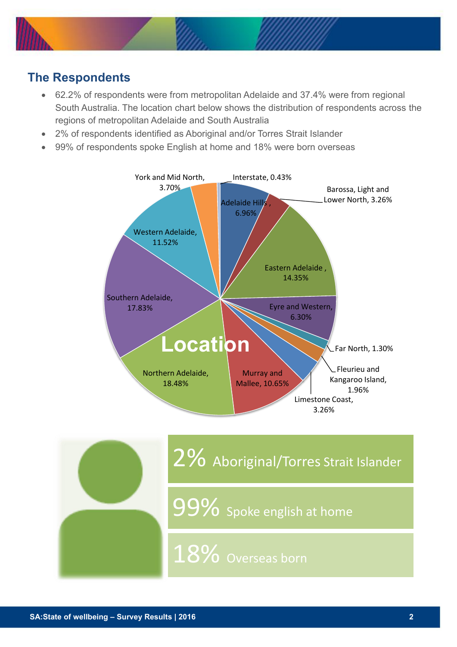

#### **The Respondents**

- 62.2% of respondents were from metropolitan Adelaide and 37.4% were from regional South Australia. The location chart below shows the distribution of respondents across the regions of metropolitan Adelaide and South Australia
- 2% of respondents identified as Aboriginal and/or Torres Strait Islander
- 99% of respondents spoke English at home and 18% were born overseas



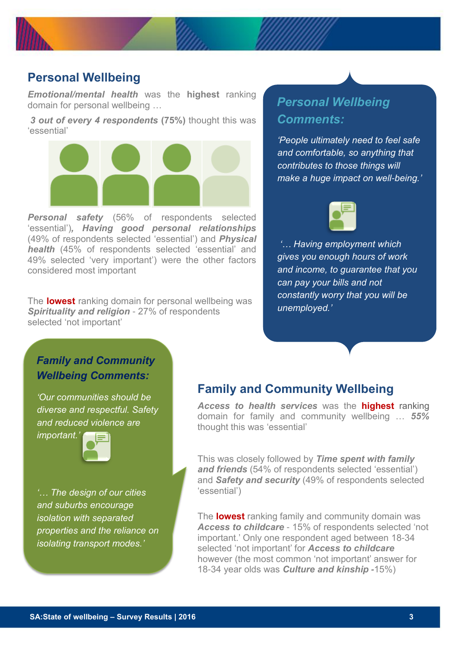

#### **Personal Wellbeing**

*Emotional/mental health* was the **highest** ranking domain for personal wellbeing …

*3 out of every 4 respondents* **(75%)** thought this was 'essential'



*Personal safety* (56% of respondents selected 'essential')*, Having good personal relationships* (49% of respondents selected 'essential') and *Physical health* (45% of respondents selected 'essential' and 49% selected 'very important') were the other factors considered most important

The **lowest** ranking domain for personal wellbeing was *Spirituality and religion* - 27% of respondents selected 'not important'

#### *Personal Wellbeing Comments:*

*'People ultimately need to feel safe and comfortable, so anything that contributes to those things will make a huge impact on well-being.'*



*'… Having employment which gives you enough hours of work and income, to guarantee that you can pay your bills and not constantly worry that you will be unemployed.'*

#### *Family and Community Wellbeing Comments:*

*'Our communities should be diverse and respectful. Safety and reduced violence are* 



*'… The design of our cities and suburbs encourage isolation with separated properties and the reliance on isolating transport modes.'*

#### **Family and Community Wellbeing**

*Access to health services* was the **highest** ranking domain for family and community wellbeing … *55%* thought this was 'essential'

This was closely followed by *Time spent with family and friends* (54% of respondents selected 'essential') and *Safety and security* (49% of respondents selected 'essential')

The **lowest** ranking family and community domain was *Access to childcare* - 15% of respondents selected 'not important.' Only one respondent aged between 18-34 selected 'not important' for *Access to childcare* however (the most common 'not important' answer for 18-34 year olds was *Culture and kinship -*15%)